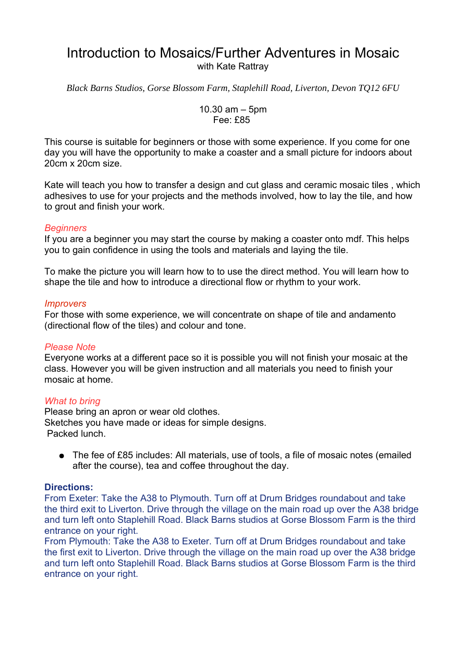# Introduction to Mosaics/Further Adventures in Mosaic with Kate Rattrav

*Black Barns Studios, Gorse Blossom Farm, Staplehill Road, Liverton, Devon TQ12 6FU*

10.30 am – 5pm Fee: £85

This course is suitable for beginners or those with some experience. If you come for one day you will have the opportunity to make a coaster and a small picture for indoors about 20cm x 20cm size.

Kate will teach you how to transfer a design and cut glass and ceramic mosaic tiles , which adhesives to use for your projects and the methods involved, how to lay the tile, and how to grout and finish your work.

## *Beginners*

If you are a beginner you may start the course by making a coaster onto mdf. This helps you to gain confidence in using the tools and materials and laying the tile.

To make the picture you will learn how to to use the direct method. You will learn how to shape the tile and how to introduce a directional flow or rhythm to your work.

#### *Improvers*

For those with some experience, we will concentrate on shape of tile and andamento (directional flow of the tiles) and colour and tone.

#### *Please Note*

Everyone works at a different pace so it is possible you will not finish your mosaic at the class. However you will be given instruction and all materials you need to finish your mosaic at home.

# *What to bring*

Please bring an apron or wear old clothes. Sketches you have made or ideas for simple designs. Packed lunch.

● The fee of £85 includes: All materials, use of tools, a file of mosaic notes (emailed after the course), tea and coffee throughout the day.

# **Directions:**

From Exeter: Take the A38 to Plymouth. Turn off at Drum Bridges roundabout and take the third exit to Liverton. Drive through the village on the main road up over the A38 bridge and turn left onto Staplehill Road. Black Barns studios at Gorse Blossom Farm is the third entrance on your right.

From Plymouth: Take the A38 to Exeter. Turn off at Drum Bridges roundabout and take the first exit to Liverton. Drive through the village on the main road up over the A38 bridge and turn left onto Staplehill Road. Black Barns studios at Gorse Blossom Farm is the third entrance on your right.